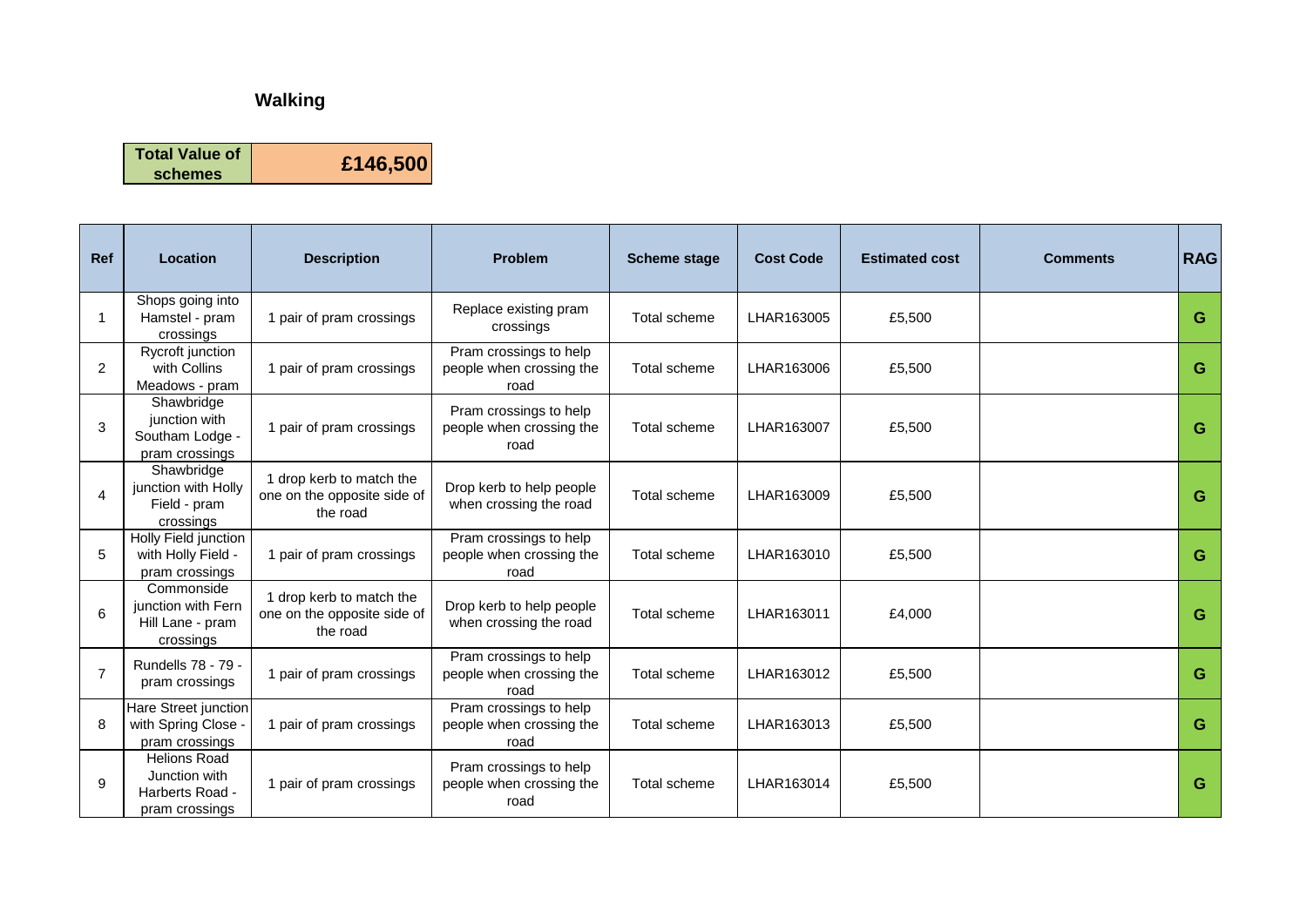## **Walking**

**Total Value of** 

**schemes £146,500**

| <b>Ref</b>     | Location                                                                  | <b>Description</b>                                                  | <b>Problem</b>                                             | <b>Scheme stage</b> | <b>Cost Code</b> | <b>Estimated cost</b> | <b>Comments</b> | <b>RAG</b> |
|----------------|---------------------------------------------------------------------------|---------------------------------------------------------------------|------------------------------------------------------------|---------------------|------------------|-----------------------|-----------------|------------|
|                | Shops going into<br>Hamstel - pram<br>crossings                           | 1 pair of pram crossings                                            | Replace existing pram<br>crossings                         | Total scheme        | LHAR163005       | £5,500                |                 | G          |
| 2              | Rycroft junction<br>with Collins<br>Meadows - pram                        | 1 pair of pram crossings                                            | Pram crossings to help<br>people when crossing the<br>road | Total scheme        | LHAR163006       | £5,500                |                 | G          |
| 3              | Shawbridge<br>junction with<br>Southam Lodge -<br>pram crossings          | 1 pair of pram crossings                                            | Pram crossings to help<br>people when crossing the<br>road | Total scheme        | LHAR163007       | £5,500                |                 | G          |
| 4              | Shawbridge<br>junction with Holly<br>Field - pram<br>crossings            | 1 drop kerb to match the<br>one on the opposite side of<br>the road | Drop kerb to help people<br>when crossing the road         | Total scheme        | LHAR163009       | £5,500                |                 | G          |
| 5              | Holly Field junction<br>with Holly Field -<br>pram crossings              | 1 pair of pram crossings                                            | Pram crossings to help<br>people when crossing the<br>road | Total scheme        | LHAR163010       | £5,500                |                 | G          |
| 6              | Commonside<br>junction with Fern<br>Hill Lane - pram<br>crossings         | 1 drop kerb to match the<br>one on the opposite side of<br>the road | Drop kerb to help people<br>when crossing the road         | Total scheme        | LHAR163011       | £4,000                |                 | G          |
| $\overline{7}$ | Rundells 78 - 79 -<br>pram crossings                                      | 1 pair of pram crossings                                            | Pram crossings to help<br>people when crossing the<br>road | Total scheme        | LHAR163012       | £5,500                |                 | G          |
| 8              | Hare Street junction<br>with Spring Close -<br>pram crossings             | 1 pair of pram crossings                                            | Pram crossings to help<br>people when crossing the<br>road | Total scheme        | LHAR163013       | £5,500                |                 | G          |
| 9              | <b>Helions Road</b><br>Junction with<br>Harberts Road -<br>pram crossings | 1 pair of pram crossings                                            | Pram crossings to help<br>people when crossing the<br>road | Total scheme        | LHAR163014       | £5,500                |                 | G          |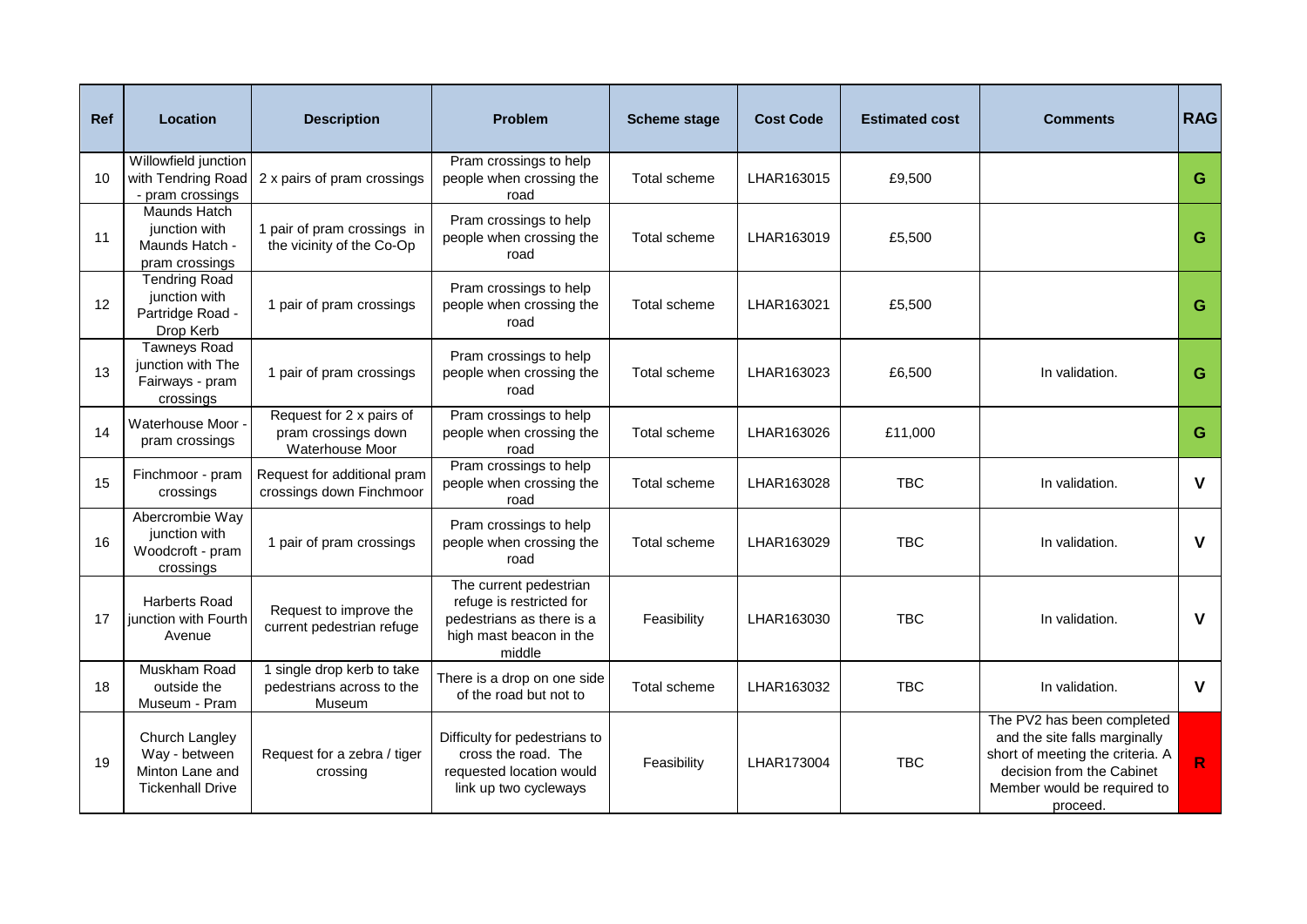| <b>Ref</b> | <b>Location</b>                                                               | <b>Description</b>                                                 | <b>Problem</b>                                                                                                       | <b>Scheme stage</b> | <b>Cost Code</b> | <b>Estimated cost</b> | <b>Comments</b>                                                                                                                                                         | <b>RAG</b>   |
|------------|-------------------------------------------------------------------------------|--------------------------------------------------------------------|----------------------------------------------------------------------------------------------------------------------|---------------------|------------------|-----------------------|-------------------------------------------------------------------------------------------------------------------------------------------------------------------------|--------------|
| 10         | Willowfield junction<br>with Tendring Road<br>- pram crossings                | 2 x pairs of pram crossings                                        | Pram crossings to help<br>people when crossing the<br>road                                                           | Total scheme        | LHAR163015       | £9,500                |                                                                                                                                                                         | G            |
| 11         | Maunds Hatch<br>junction with<br>Maunds Hatch -<br>pram crossings             | 1 pair of pram crossings in<br>the vicinity of the Co-Op           | Pram crossings to help<br>people when crossing the<br>road                                                           | Total scheme        | LHAR163019       | £5,500                |                                                                                                                                                                         | G            |
| 12         | <b>Tendring Road</b><br>junction with<br>Partridge Road -<br>Drop Kerb        | 1 pair of pram crossings                                           | Pram crossings to help<br>people when crossing the<br>road                                                           | Total scheme        | LHAR163021       | £5,500                |                                                                                                                                                                         | G            |
| 13         | <b>Tawneys Road</b><br>junction with The<br>Fairways - pram<br>crossings      | 1 pair of pram crossings                                           | Pram crossings to help<br>people when crossing the<br>road                                                           | Total scheme        | LHAR163023       | £6,500                | In validation.                                                                                                                                                          | G            |
| 14         | Waterhouse Moor -<br>pram crossings                                           | Request for 2 x pairs of<br>pram crossings down<br>Waterhouse Moor | Pram crossings to help<br>people when crossing the<br>road                                                           | Total scheme        | LHAR163026       | £11,000               |                                                                                                                                                                         | G            |
| 15         | Finchmoor - pram<br>crossings                                                 | Request for additional pram<br>crossings down Finchmoor            | Pram crossings to help<br>people when crossing the<br>road                                                           | Total scheme        | LHAR163028       | <b>TBC</b>            | In validation.                                                                                                                                                          | $\mathbf v$  |
| 16         | Abercrombie Way<br>junction with<br>Woodcroft - pram<br>crossings             | 1 pair of pram crossings                                           | Pram crossings to help<br>people when crossing the<br>road                                                           | <b>Total scheme</b> | LHAR163029       | <b>TBC</b>            | In validation.                                                                                                                                                          | $\mathsf{V}$ |
| 17         | <b>Harberts Road</b><br>junction with Fourth<br>Avenue                        | Request to improve the<br>current pedestrian refuge                | The current pedestrian<br>refuge is restricted for<br>pedestrians as there is a<br>high mast beacon in the<br>middle | Feasibility         | LHAR163030       | <b>TBC</b>            | In validation.                                                                                                                                                          | $\mathsf{V}$ |
| 18         | Muskham Road<br>outside the<br>Museum - Pram                                  | 1 single drop kerb to take<br>pedestrians across to the<br>Museum  | There is a drop on one side<br>of the road but not to                                                                | Total scheme        | LHAR163032       | <b>TBC</b>            | In validation.                                                                                                                                                          | $\mathbf{V}$ |
| 19         | Church Langley<br>Way - between<br>Minton Lane and<br><b>Tickenhall Drive</b> | Request for a zebra / tiger<br>crossing                            | Difficulty for pedestrians to<br>cross the road. The<br>requested location would<br>link up two cycleways            | Feasibility         | LHAR173004       | <b>TBC</b>            | The PV2 has been completed<br>and the site falls marginally<br>short of meeting the criteria. A<br>decision from the Cabinet<br>Member would be required to<br>proceed. | R.           |